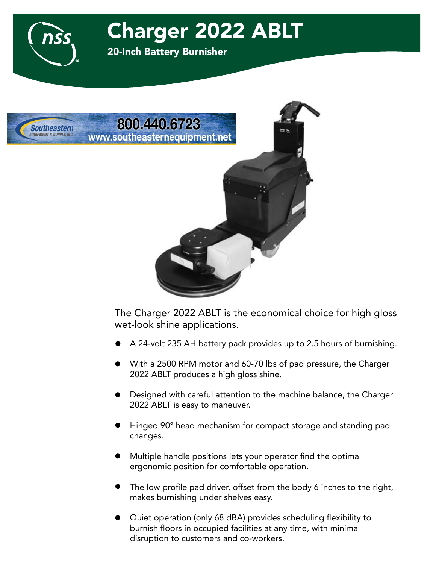

20-Inch Battery Burnisher



The Charger 2022 ABLT is the economical choice for high gloss wet-look shine applications.

- A 24-volt 235 AH battery pack provides up to 2.5 hours of burnishing.  $\bullet$
- With a 2500 RPM motor and 60-70 lbs of pad pressure, the Charger 2022 ABLT produces a high gloss shine.  $\bullet$
- Designed with careful attention to the machine balance, the Charger 2022 ABLT is easy to maneuver.  $\bullet$
- Hinged 90° head mechanism for compact storage and standing pad changes.  $\bullet$
- Multiple handle positions lets your operator find the optimal ergonomic position for comfortable operation.  $\bullet$
- The low profile pad driver, offset from the body 6 inches to the right, makes burnishing under shelves easy.  $\bullet$
- Quiet operation (only 68 dBA) provides scheduling flexibility to burnish floors in occupied facilities at any time, with minimal disruption to customers and co-workers.  $\bullet$